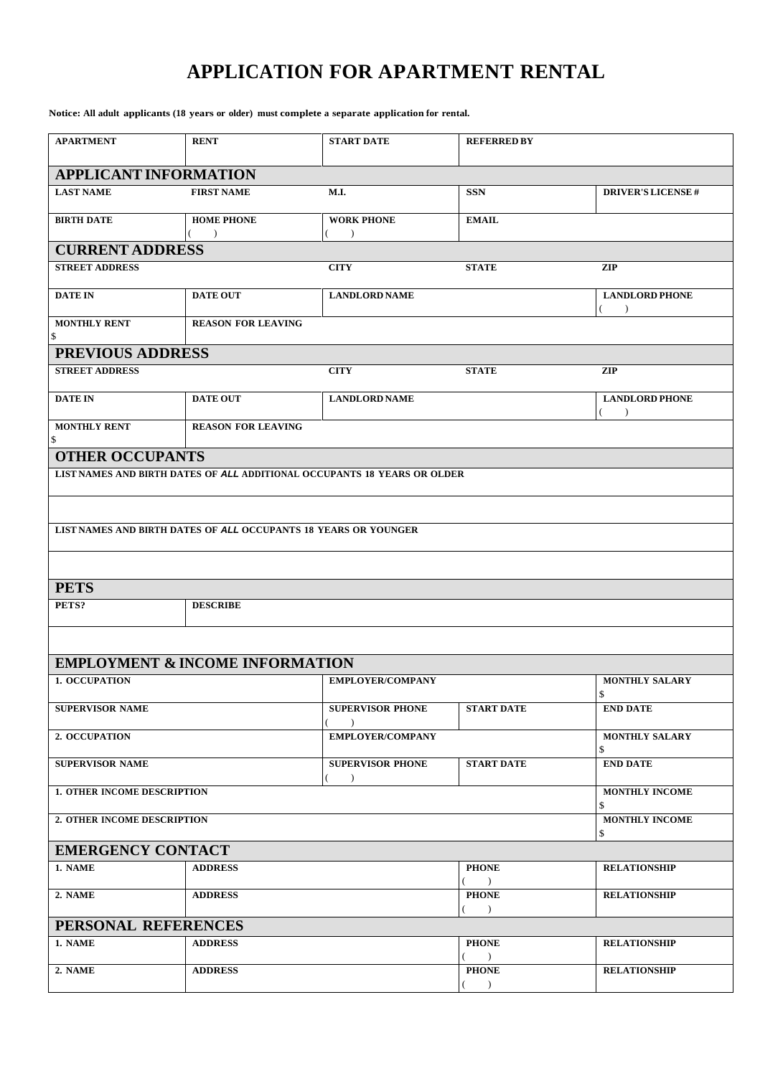## **APPLICATION FOR APARTMENT RENTAL**

**Notice: All adult applicants (18 years or older) must complete a separate application for rental.**

| <b>APARTMENT</b>                   | <b>RENT</b>                                                     | <b>START DATE</b>                                                        | <b>REFERRED BY</b>                       |                                        |  |  |  |
|------------------------------------|-----------------------------------------------------------------|--------------------------------------------------------------------------|------------------------------------------|----------------------------------------|--|--|--|
| <b>APPLICANT INFORMATION</b>       |                                                                 |                                                                          |                                          |                                        |  |  |  |
| <b>LAST NAME</b>                   | <b>FIRST NAME</b>                                               | M.I.                                                                     | <b>SSN</b>                               | <b>DRIVER'S LICENSE#</b>               |  |  |  |
| <b>BIRTH DATE</b>                  | <b>HOME PHONE</b><br>$\rightarrow$                              | <b>WORK PHONE</b><br>$\lambda$                                           | <b>EMAIL</b>                             |                                        |  |  |  |
| <b>CURRENT ADDRESS</b>             |                                                                 |                                                                          |                                          |                                        |  |  |  |
| <b>STREET ADDRESS</b>              |                                                                 | <b>CITY</b>                                                              | <b>STATE</b>                             | <b>ZIP</b>                             |  |  |  |
| <b>DATE IN</b>                     | <b>DATE OUT</b>                                                 | <b>LANDLORD NAME</b>                                                     |                                          | <b>LANDLORD PHONE</b><br>$\mathcal{E}$ |  |  |  |
| <b>MONTHLY RENT</b><br>\$          | <b>REASON FOR LEAVING</b>                                       |                                                                          |                                          |                                        |  |  |  |
| PREVIOUS ADDRESS                   |                                                                 |                                                                          |                                          |                                        |  |  |  |
| <b>STREET ADDRESS</b>              |                                                                 | <b>CITY</b>                                                              | <b>STATE</b>                             | ZIP                                    |  |  |  |
| <b>DATE IN</b>                     | <b>DATE OUT</b>                                                 | <b>LANDLORD NAME</b>                                                     |                                          | <b>LANDLORD PHONE</b><br>$\lambda$     |  |  |  |
| <b>MONTHLY RENT</b><br>\$          | <b>REASON FOR LEAVING</b>                                       |                                                                          |                                          |                                        |  |  |  |
| <b>OTHER OCCUPANTS</b>             |                                                                 |                                                                          |                                          |                                        |  |  |  |
|                                    |                                                                 | LIST NAMES AND BIRTH DATES OF ALL ADDITIONAL OCCUPANTS 18 YEARS OR OLDER |                                          |                                        |  |  |  |
|                                    |                                                                 |                                                                          |                                          |                                        |  |  |  |
|                                    | LIST NAMES AND BIRTH DATES OF ALL OCCUPANTS 18 YEARS OR YOUNGER |                                                                          |                                          |                                        |  |  |  |
|                                    |                                                                 |                                                                          |                                          |                                        |  |  |  |
|                                    |                                                                 |                                                                          |                                          |                                        |  |  |  |
| <b>PETS</b>                        |                                                                 |                                                                          |                                          |                                        |  |  |  |
| PETS?                              | <b>DESCRIBE</b>                                                 |                                                                          |                                          |                                        |  |  |  |
|                                    |                                                                 |                                                                          |                                          |                                        |  |  |  |
|                                    | <b>EMPLOYMENT &amp; INCOME INFORMATION</b>                      |                                                                          |                                          |                                        |  |  |  |
| <b>1. OCCUPATION</b>               |                                                                 | <b>EMPLOYER/COMPANY</b>                                                  |                                          | <b>MONTHLY SALARY</b><br>\$            |  |  |  |
| <b>SUPERVISOR NAME</b>             |                                                                 | <b>SUPERVISOR PHONE</b>                                                  | <b>START DATE</b>                        | <b>END DATE</b>                        |  |  |  |
| 2. OCCUPATION                      |                                                                 | EMPLOYER/COMPANY                                                         |                                          | MONTHLY SALARY<br>\$                   |  |  |  |
| <b>SUPERVISOR NAME</b>             |                                                                 | <b>SUPERVISOR PHONE</b><br>$\lambda$                                     | <b>START DATE</b>                        | <b>END DATE</b>                        |  |  |  |
| <b>1. OTHER INCOME DESCRIPTION</b> |                                                                 |                                                                          |                                          | <b>MONTHLY INCOME</b><br>\$            |  |  |  |
| 2. OTHER INCOME DESCRIPTION        |                                                                 |                                                                          |                                          | <b>MONTHLY INCOME</b><br>\$            |  |  |  |
| <b>EMERGENCY CONTACT</b>           |                                                                 |                                                                          |                                          |                                        |  |  |  |
| 1. NAME                            | <b>ADDRESS</b>                                                  |                                                                          | <b>PHONE</b><br>$\rightarrow$            | <b>RELATIONSHIP</b>                    |  |  |  |
| 2. NAME                            | <b>ADDRESS</b>                                                  |                                                                          | <b>PHONE</b><br>$\rightarrow$            | <b>RELATIONSHIP</b>                    |  |  |  |
| PERSONAL REFERENCES                |                                                                 |                                                                          |                                          |                                        |  |  |  |
| 1. NAME                            | <b>ADDRESS</b>                                                  |                                                                          | <b>PHONE</b><br>$\overline{\phantom{a}}$ | <b>RELATIONSHIP</b>                    |  |  |  |